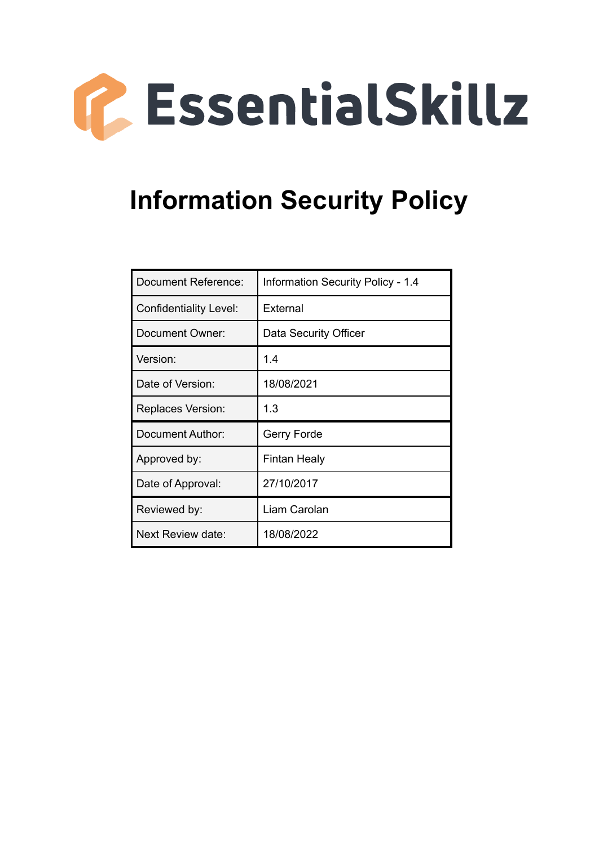

# **Information Security Policy**

| Document Reference:      | <b>Information Security Policy - 1.4</b> |
|--------------------------|------------------------------------------|
| Confidentiality Level:   | External                                 |
| Document Owner:          | Data Security Officer                    |
| Version:                 | 1.4                                      |
| Date of Version:         | 18/08/2021                               |
| <b>Replaces Version:</b> | 1.3                                      |
| Document Author:         | Gerry Forde                              |
| Approved by:             | Fintan Healy                             |
| Date of Approval:        | 27/10/2017                               |
| Reviewed by:             | Liam Carolan                             |
| Next Review date:        | 18/08/2022                               |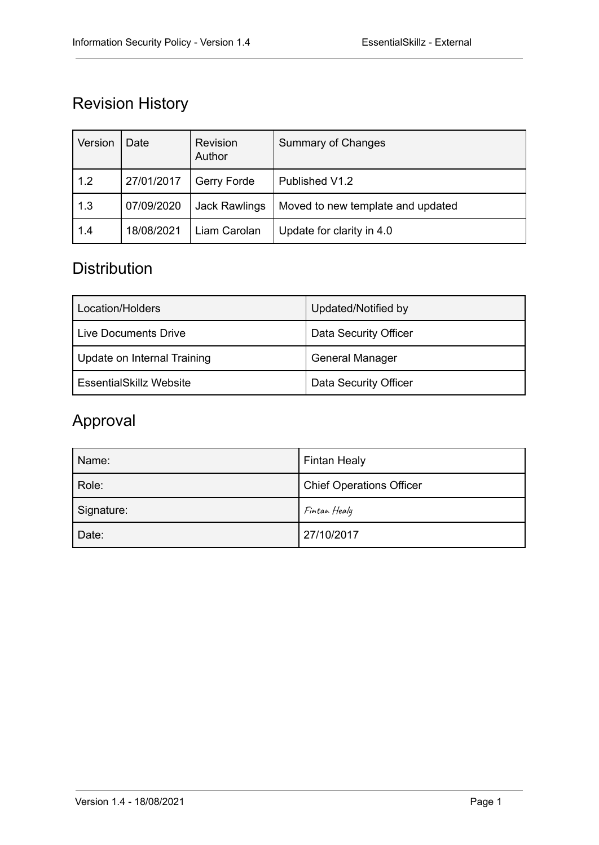# Revision History

| Version | Date       | Revision<br>Author   | <b>Summary of Changes</b>         |
|---------|------------|----------------------|-----------------------------------|
| 1.2     | 27/01/2017 | Gerry Forde          | Published V1.2                    |
| 1.3     | 07/09/2020 | <b>Jack Rawlings</b> | Moved to new template and updated |
| 1.4     | 18/08/2021 | Liam Carolan         | Update for clarity in 4.0         |

### **Distribution**

| Location/Holders               | Updated/Notified by    |
|--------------------------------|------------------------|
| Live Documents Drive           | Data Security Officer  |
| Update on Internal Training    | <b>General Manager</b> |
| <b>EssentialSkillz Website</b> | Data Security Officer  |

### Approval

| Name:      | <b>Fintan Healy</b>             |
|------------|---------------------------------|
| Role:      | <b>Chief Operations Officer</b> |
| Signature: | Fintan Healy                    |
| Date:      | 27/10/2017                      |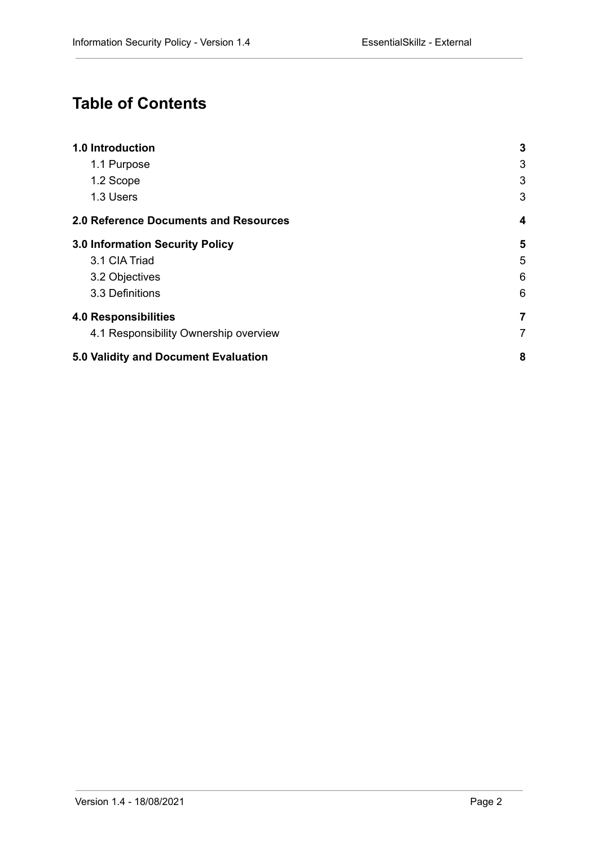# **Table of Contents**

| 1.0 Introduction                             | $\mathbf{3}$   |
|----------------------------------------------|----------------|
| 1.1 Purpose                                  | 3              |
| 1.2 Scope                                    | 3              |
| 1.3 Users                                    | 3              |
| <b>2.0 Reference Documents and Resources</b> | 4              |
| 3.0 Information Security Policy              | 5              |
| 3.1 CIA Triad                                | 5              |
| 3.2 Objectives                               | 6              |
| 3.3 Definitions                              | 6              |
| <b>4.0 Responsibilities</b>                  | 7              |
| 4.1 Responsibility Ownership overview        | $\overline{7}$ |
| 5.0 Validity and Document Evaluation         | 8              |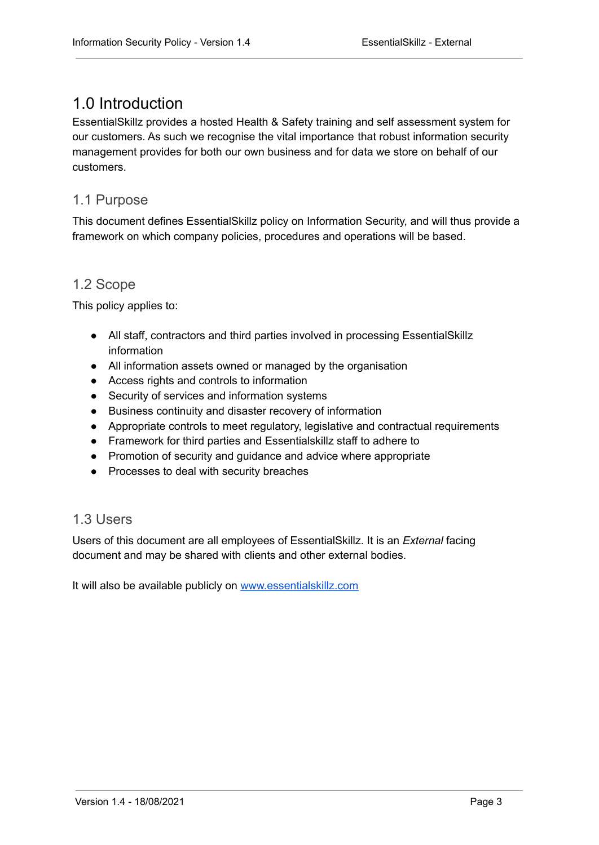### <span id="page-3-0"></span>1.0 Introduction

EssentialSkillz provides a hosted Health & Safety training and self assessment system for our customers. As such we recognise the vital importance that robust information security management provides for both our own business and for data we store on behalf of our customers.

#### <span id="page-3-1"></span>1.1 Purpose

This document defines EssentialSkillz policy on Information Security, and will thus provide a framework on which company policies, procedures and operations will be based.

#### <span id="page-3-2"></span>1.2 Scope

This policy applies to:

- All staff, contractors and third parties involved in processing EssentialSkillz information
- All information assets owned or managed by the organisation
- Access rights and controls to information
- Security of services and information systems
- Business continuity and disaster recovery of information
- Appropriate controls to meet regulatory, legislative and contractual requirements
- Framework for third parties and Essentialskillz staff to adhere to
- Promotion of security and quidance and advice where appropriate
- Processes to deal with security breaches

#### <span id="page-3-3"></span>1.3 Users

Users of this document are all employees of EssentialSkillz. It is an *External* facing document and may be shared with clients and other external bodies.

It will also be available publicly on [www.essentialskillz.com](http://www.essentialskillz.com)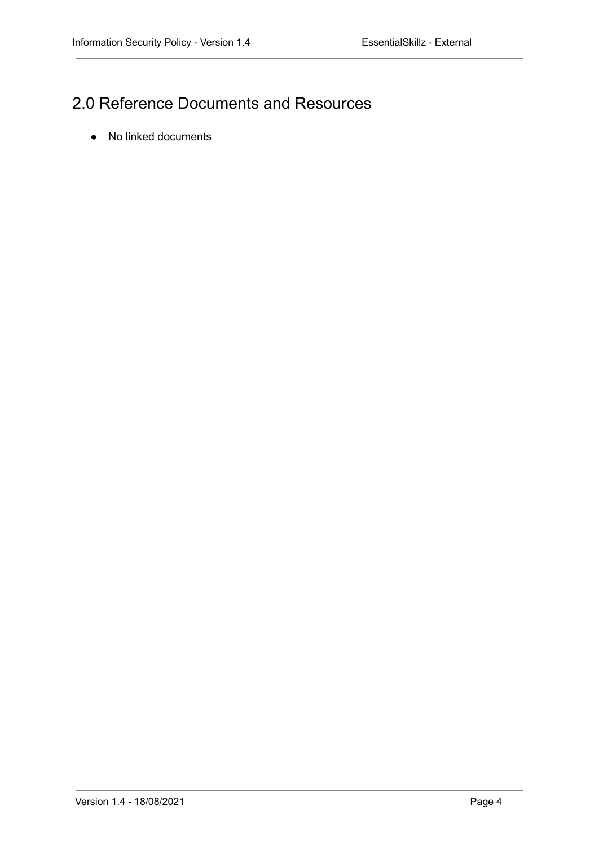# <span id="page-4-0"></span>2.0 Reference Documents and Resources

● No linked documents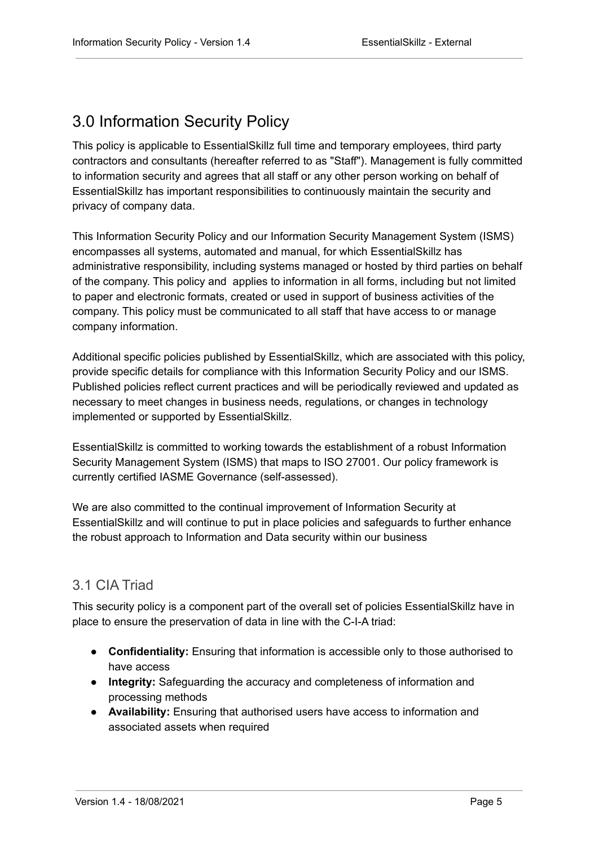### <span id="page-5-0"></span>3.0 Information Security Policy

This policy is applicable to EssentialSkillz full time and temporary employees, third party contractors and consultants (hereafter referred to as "Staff"). Management is fully committed to information security and agrees that all staff or any other person working on behalf of EssentialSkillz has important responsibilities to continuously maintain the security and privacy of company data.

This Information Security Policy and our Information Security Management System (ISMS) encompasses all systems, automated and manual, for which EssentialSkillz has administrative responsibility, including systems managed or hosted by third parties on behalf of the company. This policy and applies to information in all forms, including but not limited to paper and electronic formats, created or used in support of business activities of the company. This policy must be communicated to all staff that have access to or manage company information.

Additional specific policies published by EssentialSkillz, which are associated with this policy, provide specific details for compliance with this Information Security Policy and our ISMS. Published policies reflect current practices and will be periodically reviewed and updated as necessary to meet changes in business needs, regulations, or changes in technology implemented or supported by EssentialSkillz.

EssentialSkillz is committed to working towards the establishment of a robust Information Security Management System (ISMS) that maps to ISO 27001. Our policy framework is currently certified IASME Governance (self-assessed).

We are also committed to the continual improvement of Information Security at EssentialSkillz and will continue to put in place policies and safeguards to further enhance the robust approach to Information and Data security within our business

### <span id="page-5-1"></span>3.1 CIA Triad

This security policy is a component part of the overall set of policies EssentialSkillz have in place to ensure the preservation of data in line with the C-I-A triad:

- **Confidentiality:** Ensuring that information is accessible only to those authorised to have access
- **Integrity:** Safeguarding the accuracy and completeness of information and processing methods
- **Availability:** Ensuring that authorised users have access to information and associated assets when required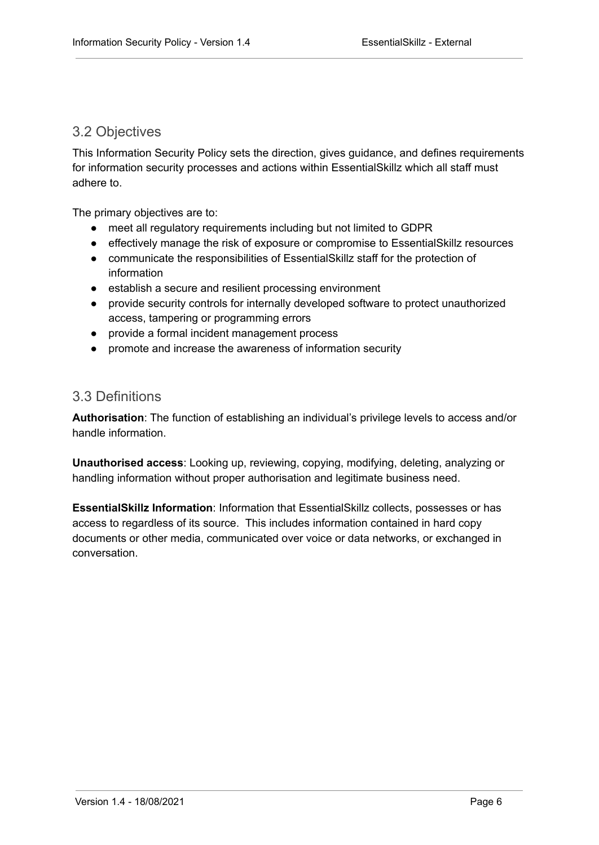#### <span id="page-6-0"></span>3.2 Objectives

This Information Security Policy sets the direction, gives guidance, and defines requirements for information security processes and actions within EssentialSkillz which all staff must adhere to.

The primary objectives are to:

- meet all regulatory requirements including but not limited to GDPR
- effectively manage the risk of exposure or compromise to EssentialSkillz resources
- communicate the responsibilities of EssentialSkillz staff for the protection of information
- establish a secure and resilient processing environment
- provide security controls for internally developed software to protect unauthorized access, tampering or programming errors
- provide a formal incident management process
- promote and increase the awareness of information security

#### <span id="page-6-1"></span>3.3 Definitions

**Authorisation**: The function of establishing an individual's privilege levels to access and/or handle information.

**Unauthorised access**: Looking up, reviewing, copying, modifying, deleting, analyzing or handling information without proper authorisation and legitimate business need.

**EssentialSkillz Information**: Information that EssentialSkillz collects, possesses or has access to regardless of its source. This includes information contained in hard copy documents or other media, communicated over voice or data networks, or exchanged in conversation.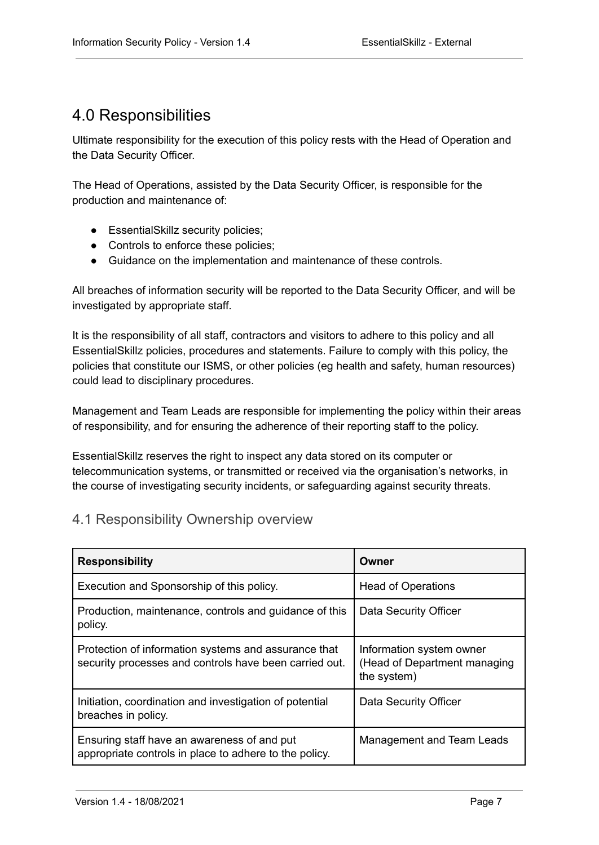### <span id="page-7-0"></span>4.0 Responsibilities

Ultimate responsibility for the execution of this policy rests with the Head of Operation and the Data Security Officer.

The Head of Operations, assisted by the Data Security Officer, is responsible for the production and maintenance of:

- EssentialSkillz security policies;
- Controls to enforce these policies;
- Guidance on the implementation and maintenance of these controls.

All breaches of information security will be reported to the Data Security Officer, and will be investigated by appropriate staff.

It is the responsibility of all staff, contractors and visitors to adhere to this policy and all EssentialSkillz policies, procedures and statements. Failure to comply with this policy, the policies that constitute our ISMS, or other policies (eg health and safety, human resources) could lead to disciplinary procedures.

Management and Team Leads are responsible for implementing the policy within their areas of responsibility, and for ensuring the adherence of their reporting staff to the policy.

EssentialSkillz reserves the right to inspect any data stored on its computer or telecommunication systems, or transmitted or received via the organisation's networks, in the course of investigating security incidents, or safeguarding against security threats.

#### <span id="page-7-1"></span>4.1 Responsibility Ownership overview

| <b>Responsibility</b>                                                                                          | Owner                                                                   |
|----------------------------------------------------------------------------------------------------------------|-------------------------------------------------------------------------|
| Execution and Sponsorship of this policy.                                                                      | <b>Head of Operations</b>                                               |
| Production, maintenance, controls and guidance of this<br>policy.                                              | Data Security Officer                                                   |
| Protection of information systems and assurance that<br>security processes and controls have been carried out. | Information system owner<br>(Head of Department managing<br>the system) |
| Initiation, coordination and investigation of potential<br>breaches in policy.                                 | Data Security Officer                                                   |
| Ensuring staff have an awareness of and put<br>appropriate controls in place to adhere to the policy.          | Management and Team Leads                                               |